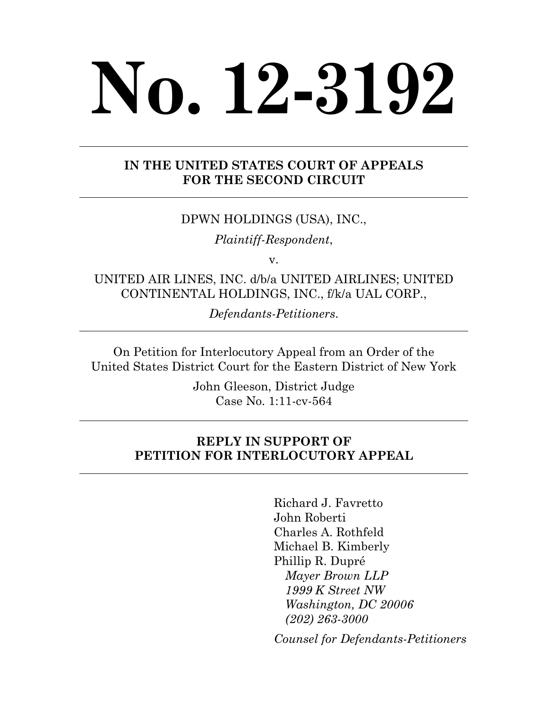# **No. 12-3192**

## **IN THE UNITED STATES COURT OF APPEALS FOR THE SECOND CIRCUIT**

## DPWN HOLDINGS (USA), INC.,

*Plaintiff-Respondent*,

v.

UNITED AIR LINES, INC. d/b/a UNITED AIRLINES; UNITED CONTINENTAL HOLDINGS, INC., f/k/a UAL CORP.,

*Defendants-Petitioners*.

On Petition for Interlocutory Appeal from an Order of the United States District Court for the Eastern District of New York

> John Gleeson, District Judge Case No. 1:11-cv-564

## **REPLY IN SUPPORT OF PETITION FOR INTERLOCUTORY APPEAL**

Richard J. Favretto John Roberti Charles A. Rothfeld Michael B. Kimberly Phillip R. Dupré *Mayer Brown LLP 1999 K Street NW Washington, DC 20006 (202) 263-3000* 

 *Counsel for Defendants-Petitioners*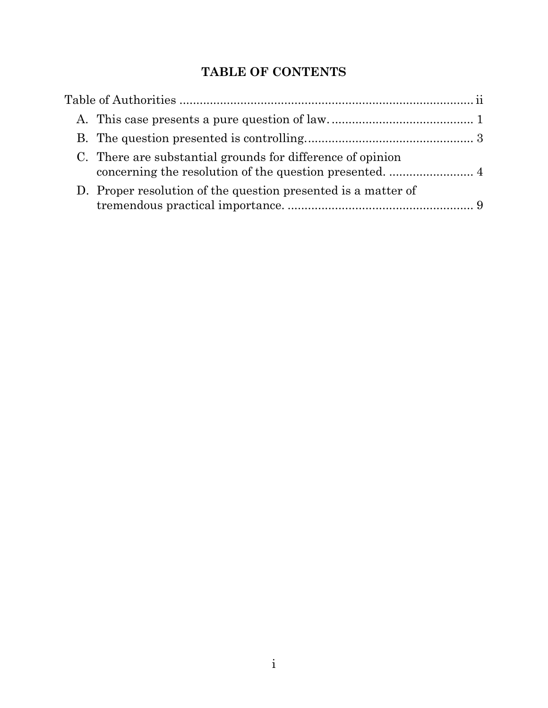# **TABLE OF CONTENTS**

| C. There are substantial grounds for difference of opinion    |  |
|---------------------------------------------------------------|--|
| D. Proper resolution of the question presented is a matter of |  |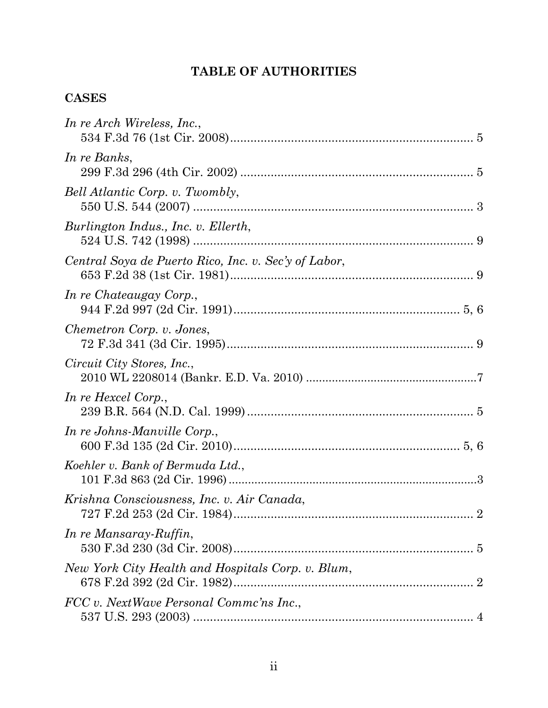# **TABLE OF AUTHORITIES**

# **CASES**

| In re Arch Wireless, Inc.,                           |  |
|------------------------------------------------------|--|
| In re Banks,                                         |  |
| Bell Atlantic Corp. v. Twombly,                      |  |
| Burlington Indus., Inc. v. Ellerth,                  |  |
| Central Soya de Puerto Rico, Inc. v. Sec'y of Labor, |  |
| In re Chateaugay Corp.,                              |  |
| Chemetron Corp. v. Jones,                            |  |
| Circuit City Stores, Inc.,                           |  |
| In re Hexcel Corp.,                                  |  |
| In re Johns-Manville Corp.,                          |  |
| Koehler v. Bank of Bermuda Ltd.,                     |  |
| Krishna Consciousness, Inc. v. Air Canada,           |  |
| In re Mansaray-Ruffin,                               |  |
| New York City Health and Hospitals Corp. v. Blum,    |  |
| FCC v. NextWave Personal Commc'ns Inc.,              |  |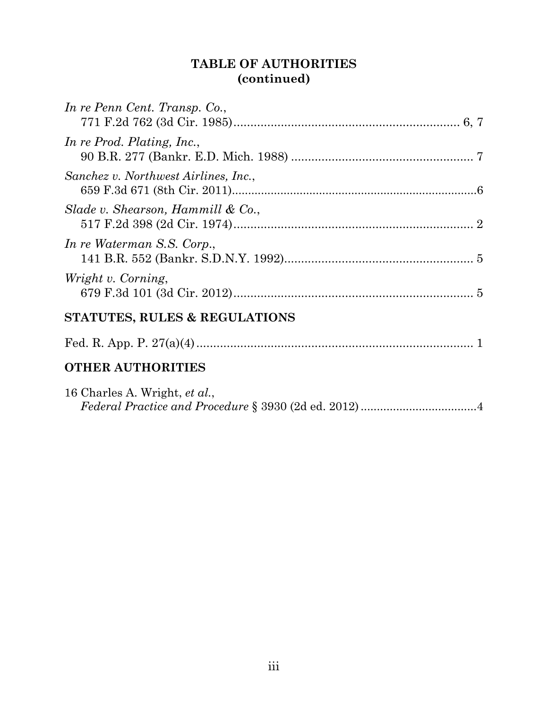# **TABLE OF AUTHORITIES (continued)**

| In re Penn Cent. Transp. Co.,        |
|--------------------------------------|
| In re Prod. Plating, Inc.,           |
| Sanchez v. Northwest Airlines, Inc., |
| Slade v. Shearson, Hammill & Co.,    |
| In re Waterman S.S. Corp.,           |
| Wright v. Corning,                   |
| STATUTES, RULES & REGULATIONS        |
|                                      |
| <b>OTHER AUTHORITIES</b>             |
| 16 Charles A. Wright, et al.,        |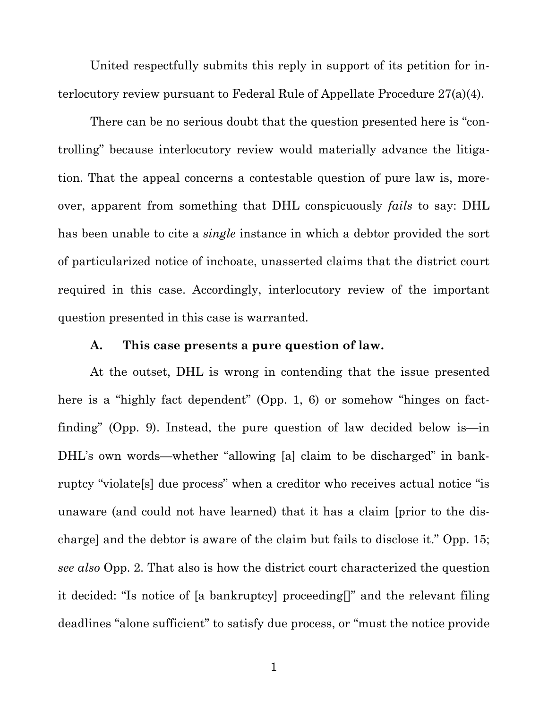United respectfully submits this reply in support of its petition for interlocutory review pursuant to Federal Rule of Appellate Procedure 27(a)(4).

There can be no serious doubt that the question presented here is "controlling" because interlocutory review would materially advance the litigation. That the appeal concerns a contestable question of pure law is, moreover, apparent from something that DHL conspicuously *fails* to say: DHL has been unable to cite a *single* instance in which a debtor provided the sort of particularized notice of inchoate, unasserted claims that the district court required in this case. Accordingly, interlocutory review of the important question presented in this case is warranted.

#### **A. This case presents a pure question of law.**

At the outset, DHL is wrong in contending that the issue presented here is a "highly fact dependent" (Opp. 1, 6) or somehow "hinges on factfinding" (Opp. 9). Instead, the pure question of law decided below is—in DHL's own words—whether "allowing [a] claim to be discharged" in bankruptcy "violate[s] due process" when a creditor who receives actual notice "is unaware (and could not have learned) that it has a claim [prior to the discharge] and the debtor is aware of the claim but fails to disclose it." Opp. 15; *see also* Opp. 2. That also is how the district court characterized the question it decided: "Is notice of [a bankruptcy] proceeding[]" and the relevant filing deadlines "alone sufficient" to satisfy due process, or "must the notice provide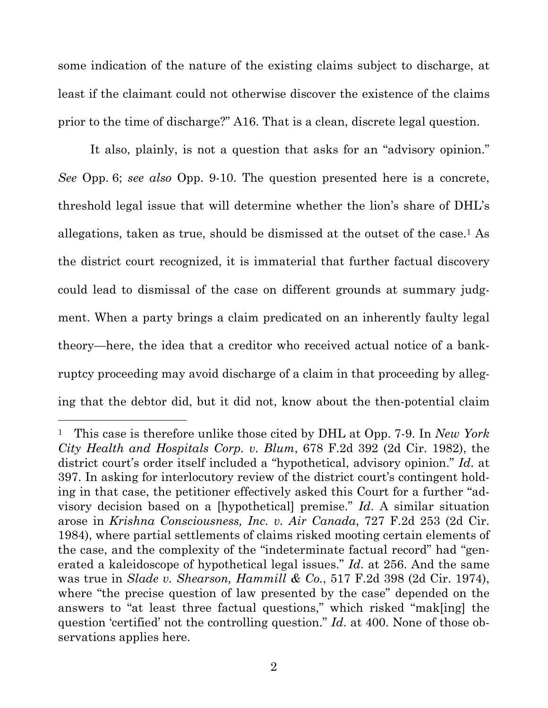some indication of the nature of the existing claims subject to discharge, at least if the claimant could not otherwise discover the existence of the claims prior to the time of discharge?" A16. That is a clean, discrete legal question.

It also, plainly, is not a question that asks for an "advisory opinion." *See* Opp. 6; *see also* Opp. 9-10. The question presented here is a concrete, threshold legal issue that will determine whether the lion's share of DHL's allegations, taken as true, should be dismissed at the outset of the case.<sup>1</sup> As the district court recognized, it is immaterial that further factual discovery could lead to dismissal of the case on different grounds at summary judgment. When a party brings a claim predicated on an inherently faulty legal theory—here, the idea that a creditor who received actual notice of a bankruptcy proceeding may avoid discharge of a claim in that proceeding by alleging that the debtor did, but it did not, know about the then-potential claim

<sup>1</sup> This case is therefore unlike those cited by DHL at Opp. 7-9. In *New York City Health and Hospitals Corp. v. Blum*, 678 F.2d 392 (2d Cir. 1982), the district court's order itself included a "hypothetical, advisory opinion." *Id*. at 397. In asking for interlocutory review of the district court's contingent holding in that case, the petitioner effectively asked this Court for a further "advisory decision based on a [hypothetical] premise." *Id*. A similar situation arose in *Krishna Consciousness, Inc. v. Air Canada*, 727 F.2d 253 (2d Cir. 1984), where partial settlements of claims risked mooting certain elements of the case, and the complexity of the "indeterminate factual record" had "generated a kaleidoscope of hypothetical legal issues." *Id*. at 256. And the same was true in *Slade v. Shearson, Hammill & Co.*, 517 F.2d 398 (2d Cir. 1974), where "the precise question of law presented by the case" depended on the answers to "at least three factual questions," which risked "mak[ing] the question 'certified' not the controlling question." *Id*. at 400. None of those observations applies here.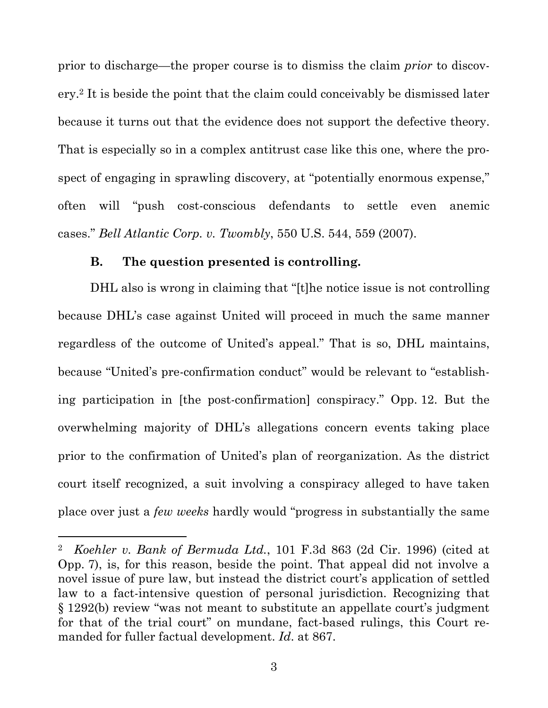prior to discharge—the proper course is to dismiss the claim *prior* to discovery.2 It is beside the point that the claim could conceivably be dismissed later because it turns out that the evidence does not support the defective theory. That is especially so in a complex antitrust case like this one, where the prospect of engaging in sprawling discovery, at "potentially enormous expense," often will "push cost-conscious defendants to settle even anemic cases." *Bell Atlantic Corp. v. Twombly*, 550 U.S. 544, 559 (2007).

#### **B. The question presented is controlling.**

 $\overline{a}$ 

DHL also is wrong in claiming that "[t]he notice issue is not controlling because DHL's case against United will proceed in much the same manner regardless of the outcome of United's appeal." That is so, DHL maintains, because "United's pre-confirmation conduct" would be relevant to "establishing participation in [the post-confirmation] conspiracy." Opp. 12. But the overwhelming majority of DHL's allegations concern events taking place prior to the confirmation of United's plan of reorganization. As the district court itself recognized, a suit involving a conspiracy alleged to have taken place over just a *few weeks* hardly would "progress in substantially the same

<sup>2</sup> *Koehler v. Bank of Bermuda Ltd.*, 101 F.3d 863 (2d Cir. 1996) (cited at Opp. 7), is, for this reason, beside the point. That appeal did not involve a novel issue of pure law, but instead the district court's application of settled law to a fact-intensive question of personal jurisdiction. Recognizing that § 1292(b) review "was not meant to substitute an appellate court's judgment for that of the trial court" on mundane, fact-based rulings, this Court remanded for fuller factual development. *Id*. at 867.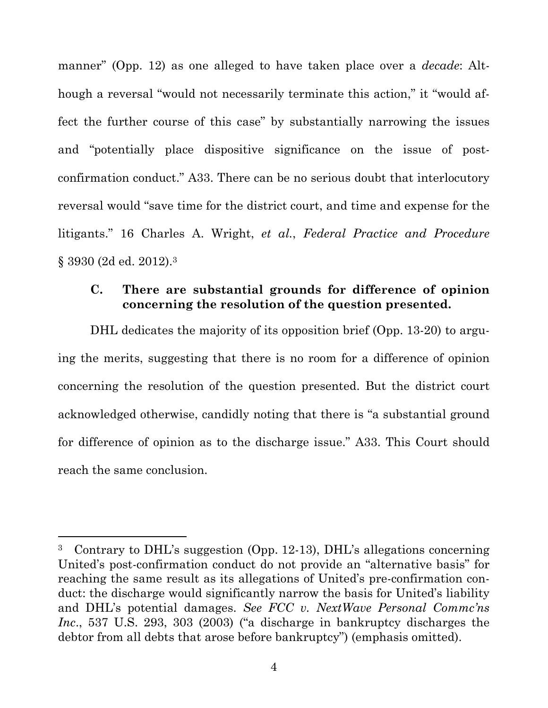manner" (Opp. 12) as one alleged to have taken place over a *decade*: Although a reversal "would not necessarily terminate this action," it "would affect the further course of this case" by substantially narrowing the issues and "potentially place dispositive significance on the issue of postconfirmation conduct." A33. There can be no serious doubt that interlocutory reversal would "save time for the district court, and time and expense for the litigants." 16 Charles A. Wright, *et al.*, *Federal Practice and Procedure* § 3930 (2d ed. 2012).3

### **C. There are substantial grounds for difference of opinion concerning the resolution of the question presented.**

DHL dedicates the majority of its opposition brief (Opp. 13-20) to arguing the merits, suggesting that there is no room for a difference of opinion concerning the resolution of the question presented. But the district court acknowledged otherwise, candidly noting that there is "a substantial ground for difference of opinion as to the discharge issue." A33. This Court should reach the same conclusion.

<sup>3</sup> Contrary to DHL's suggestion (Opp. 12-13), DHL's allegations concerning United's post-confirmation conduct do not provide an "alternative basis" for reaching the same result as its allegations of United's pre-confirmation conduct: the discharge would significantly narrow the basis for United's liability and DHL's potential damages. *See FCC v. NextWave Personal Commc'ns Inc*., 537 U.S. 293, 303 (2003) ("a discharge in bankruptcy discharges the debtor from all debts that arose before bankruptcy") (emphasis omitted).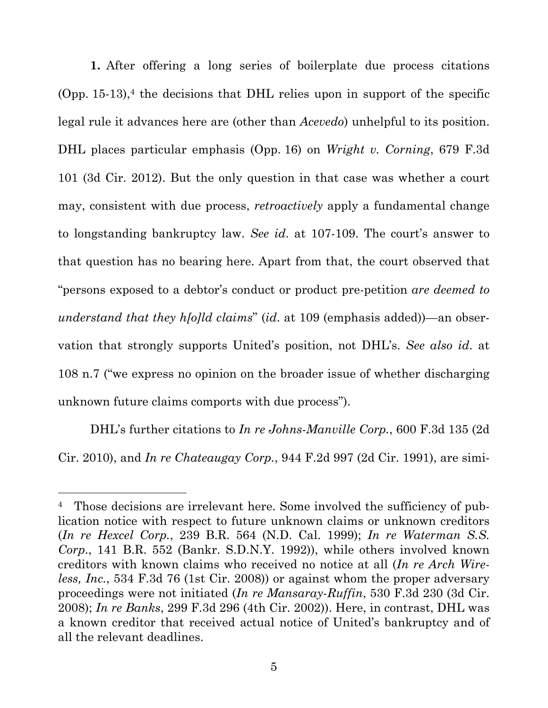**1.** After offering a long series of boilerplate due process citations  $(Opp. 15-13)<sup>4</sup>$  the decisions that DHL relies upon in support of the specific legal rule it advances here are (other than *Acevedo*) unhelpful to its position. DHL places particular emphasis (Opp. 16) on *Wright v. Corning*, 679 F.3d 101 (3d Cir. 2012). But the only question in that case was whether a court may, consistent with due process, *retroactively* apply a fundamental change to longstanding bankruptcy law. *See id*. at 107-109. The court's answer to that question has no bearing here. Apart from that, the court observed that "persons exposed to a debtor's conduct or product pre-petition *are deemed to understand that they h[o]ld claims*" (*id*. at 109 (emphasis added))—an observation that strongly supports United's position, not DHL's. *See also id*. at 108 n.7 ("we express no opinion on the broader issue of whether discharging unknown future claims comports with due process").

DHL's further citations to *In re Johns-Manville Corp.*, 600 F.3d 135 (2d Cir. 2010), and *In re Chateaugay Corp.*, 944 F.2d 997 (2d Cir. 1991), are simi-

<sup>&</sup>lt;sup>4</sup> Those decisions are irrelevant here. Some involved the sufficiency of publication notice with respect to future unknown claims or unknown creditors (*In re Hexcel Corp.*, 239 B.R. 564 (N.D. Cal. 1999); *In re Waterman S.S. Corp*., 141 B.R. 552 (Bankr. S.D.N.Y. 1992)), while others involved known creditors with known claims who received no notice at all (*In re Arch Wireless, Inc.*, 534 F.3d 76 (1st Cir. 2008)) or against whom the proper adversary proceedings were not initiated (*In re Mansaray-Ruffin*, 530 F.3d 230 (3d Cir. 2008); *In re Banks*, 299 F.3d 296 (4th Cir. 2002)). Here, in contrast, DHL was a known creditor that received actual notice of United's bankruptcy and of all the relevant deadlines.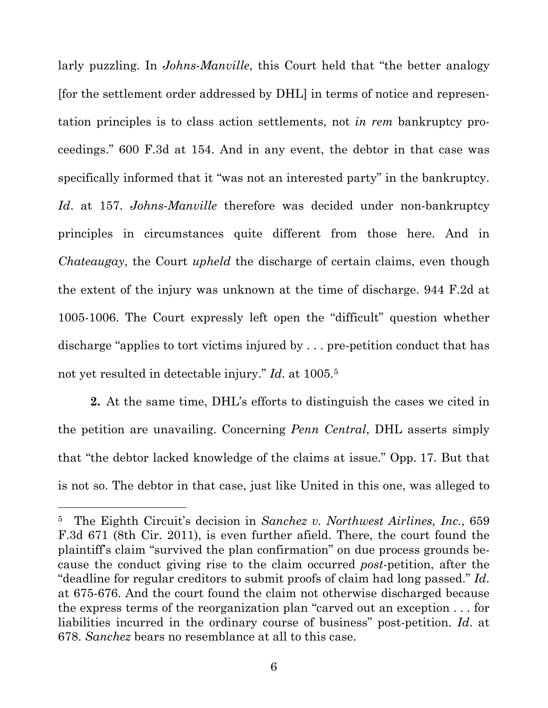larly puzzling. In *Johns-Manville*, this Court held that "the better analogy [for the settlement order addressed by DHL] in terms of notice and representation principles is to class action settlements, not *in rem* bankruptcy proceedings." 600 F.3d at 154. And in any event, the debtor in that case was specifically informed that it "was not an interested party" in the bankruptcy. *Id*. at 157. *Johns-Manville* therefore was decided under non-bankruptcy principles in circumstances quite different from those here. And in *Chateaugay*, the Court *upheld* the discharge of certain claims, even though the extent of the injury was unknown at the time of discharge. 944 F.2d at 1005-1006. The Court expressly left open the "difficult" question whether discharge "applies to tort victims injured by . . . pre-petition conduct that has not yet resulted in detectable injury." *Id*. at 1005.5

**2.** At the same time, DHL's efforts to distinguish the cases we cited in the petition are unavailing. Concerning *Penn Central*, DHL asserts simply that "the debtor lacked knowledge of the claims at issue." Opp. 17. But that is not so. The debtor in that case, just like United in this one, was alleged to

<sup>5</sup> The Eighth Circuit's decision in *Sanchez v. Northwest Airlines, Inc.*, 659 F.3d 671 (8th Cir. 2011), is even further afield. There, the court found the plaintiff's claim "survived the plan confirmation" on due process grounds because the conduct giving rise to the claim occurred *post*-petition, after the "deadline for regular creditors to submit proofs of claim had long passed." *Id*. at 675-676. And the court found the claim not otherwise discharged because the express terms of the reorganization plan "carved out an exception . . . for liabilities incurred in the ordinary course of business" post-petition. *Id*. at 678. *Sanchez* bears no resemblance at all to this case.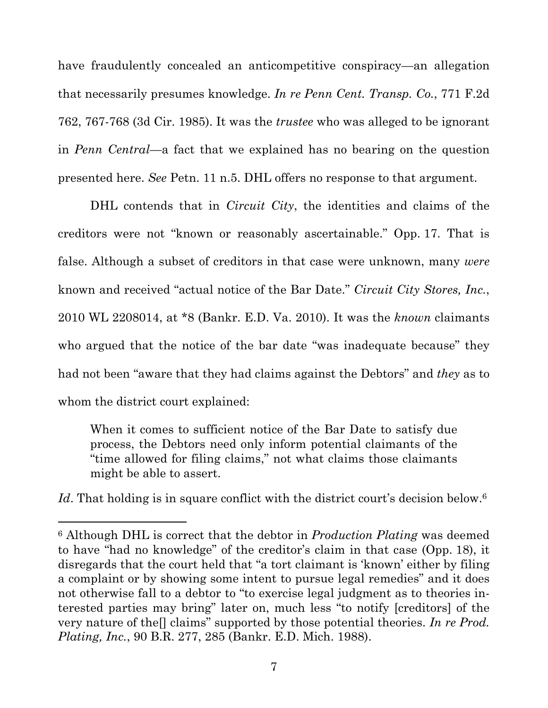have fraudulently concealed an anticompetitive conspiracy—an allegation that necessarily presumes knowledge. *In re Penn Cent. Transp. Co.*, 771 F.2d 762, 767-768 (3d Cir. 1985). It was the *trustee* who was alleged to be ignorant in *Penn Central*—a fact that we explained has no bearing on the question presented here. *See* Petn. 11 n.5. DHL offers no response to that argument.

DHL contends that in *Circuit City*, the identities and claims of the creditors were not "known or reasonably ascertainable." Opp. 17. That is false. Although a subset of creditors in that case were unknown, many *were* known and received "actual notice of the Bar Date." *Circuit City Stores, Inc.*, 2010 WL 2208014, at \*8 (Bankr. E.D. Va. 2010). It was the *known* claimants who argued that the notice of the bar date "was inadequate because" they had not been "aware that they had claims against the Debtors" and *they* as to whom the district court explained:

When it comes to sufficient notice of the Bar Date to satisfy due process, the Debtors need only inform potential claimants of the "time allowed for filing claims," not what claims those claimants might be able to assert.

Id. That holding is in square conflict with the district court's decision below.<sup>6</sup>

<sup>6</sup> Although DHL is correct that the debtor in *Production Plating* was deemed to have "had no knowledge" of the creditor's claim in that case (Opp. 18), it disregards that the court held that "a tort claimant is 'known' either by filing a complaint or by showing some intent to pursue legal remedies" and it does not otherwise fall to a debtor to "to exercise legal judgment as to theories interested parties may bring" later on, much less "to notify [creditors] of the very nature of the[] claims" supported by those potential theories. *In re Prod. Plating, Inc.*, 90 B.R. 277, 285 (Bankr. E.D. Mich. 1988).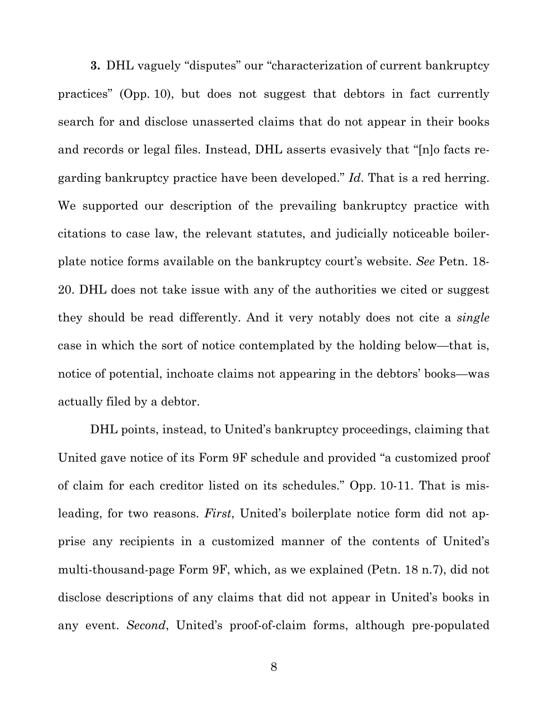**3.** DHL vaguely "disputes" our "characterization of current bankruptcy practices" (Opp. 10), but does not suggest that debtors in fact currently search for and disclose unasserted claims that do not appear in their books and records or legal files. Instead, DHL asserts evasively that "[n]o facts regarding bankruptcy practice have been developed." *Id*. That is a red herring. We supported our description of the prevailing bankruptcy practice with citations to case law, the relevant statutes, and judicially noticeable boilerplate notice forms available on the bankruptcy court's website. *See* Petn. 18- 20. DHL does not take issue with any of the authorities we cited or suggest they should be read differently. And it very notably does not cite a *single* case in which the sort of notice contemplated by the holding below—that is, notice of potential, inchoate claims not appearing in the debtors' books—was actually filed by a debtor.

DHL points, instead, to United's bankruptcy proceedings, claiming that United gave notice of its Form 9F schedule and provided "a customized proof of claim for each creditor listed on its schedules." Opp. 10-11. That is misleading, for two reasons. *First*, United's boilerplate notice form did not apprise any recipients in a customized manner of the contents of United's multi-thousand-page Form 9F, which, as we explained (Petn. 18 n.7), did not disclose descriptions of any claims that did not appear in United's books in any event. *Second*, United's proof-of-claim forms, although pre-populated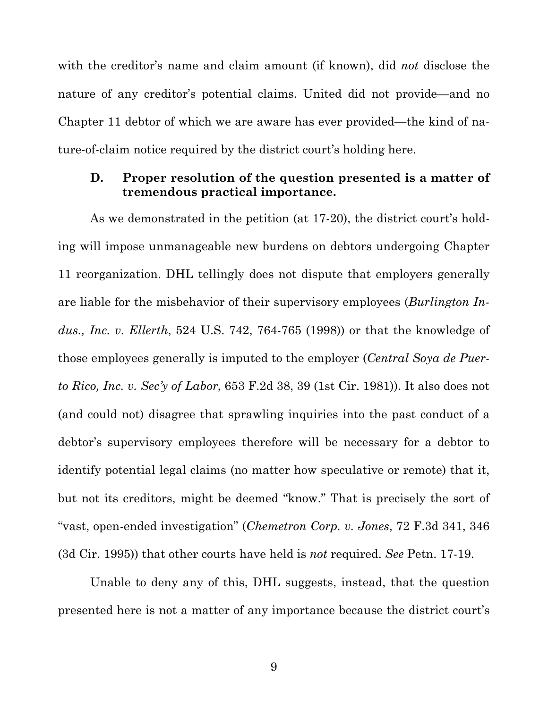with the creditor's name and claim amount (if known), did *not* disclose the nature of any creditor's potential claims. United did not provide—and no Chapter 11 debtor of which we are aware has ever provided—the kind of nature-of-claim notice required by the district court's holding here.

### **D. Proper resolution of the question presented is a matter of tremendous practical importance.**

As we demonstrated in the petition (at 17-20), the district court's holding will impose unmanageable new burdens on debtors undergoing Chapter 11 reorganization. DHL tellingly does not dispute that employers generally are liable for the misbehavior of their supervisory employees (*Burlington Indus., Inc. v. Ellerth*, 524 U.S. 742, 764-765 (1998)) or that the knowledge of those employees generally is imputed to the employer (*Central Soya de Puerto Rico, Inc. v. Sec'y of Labor*, 653 F.2d 38, 39 (1st Cir. 1981)). It also does not (and could not) disagree that sprawling inquiries into the past conduct of a debtor's supervisory employees therefore will be necessary for a debtor to identify potential legal claims (no matter how speculative or remote) that it, but not its creditors, might be deemed "know." That is precisely the sort of "vast, open-ended investigation" (*Chemetron Corp. v. Jones*, 72 F.3d 341, 346 (3d Cir. 1995)) that other courts have held is *not* required. *See* Petn. 17-19.

Unable to deny any of this, DHL suggests, instead, that the question presented here is not a matter of any importance because the district court's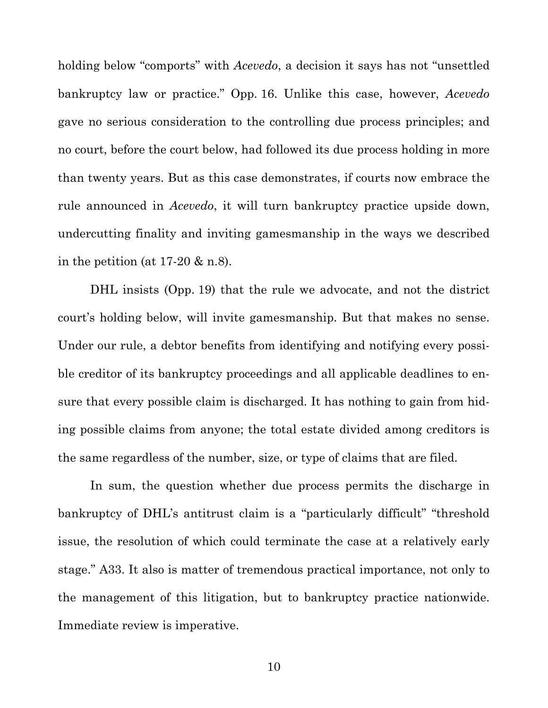holding below "comports" with *Acevedo*, a decision it says has not "unsettled bankruptcy law or practice." Opp. 16. Unlike this case, however, *Acevedo* gave no serious consideration to the controlling due process principles; and no court, before the court below, had followed its due process holding in more than twenty years. But as this case demonstrates, if courts now embrace the rule announced in *Acevedo*, it will turn bankruptcy practice upside down, undercutting finality and inviting gamesmanship in the ways we described in the petition (at  $17-20 \& n.8$ ).

DHL insists (Opp. 19) that the rule we advocate, and not the district court's holding below, will invite gamesmanship. But that makes no sense. Under our rule, a debtor benefits from identifying and notifying every possible creditor of its bankruptcy proceedings and all applicable deadlines to ensure that every possible claim is discharged. It has nothing to gain from hiding possible claims from anyone; the total estate divided among creditors is the same regardless of the number, size, or type of claims that are filed.

In sum, the question whether due process permits the discharge in bankruptcy of DHL's antitrust claim is a "particularly difficult" "threshold issue, the resolution of which could terminate the case at a relatively early stage." A33. It also is matter of tremendous practical importance, not only to the management of this litigation, but to bankruptcy practice nationwide. Immediate review is imperative.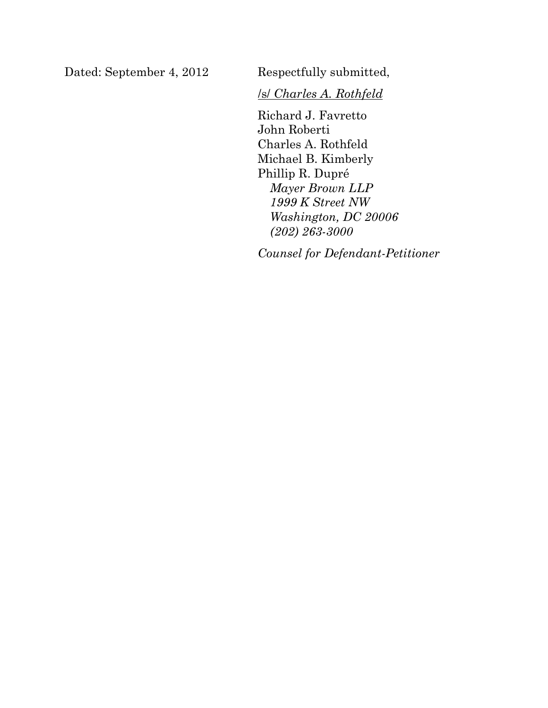Dated: September 4, 2012 Respectfully submitted,

/s/ *Charles A. Rothfeld*

Richard J. Favretto John Roberti Charles A. Rothfeld Michael B. Kimberly Phillip R. Dupré *Mayer Brown LLP 1999 K Street NW Washington, DC 20006 (202) 263-3000*

*Counsel for Defendant-Petitioner*